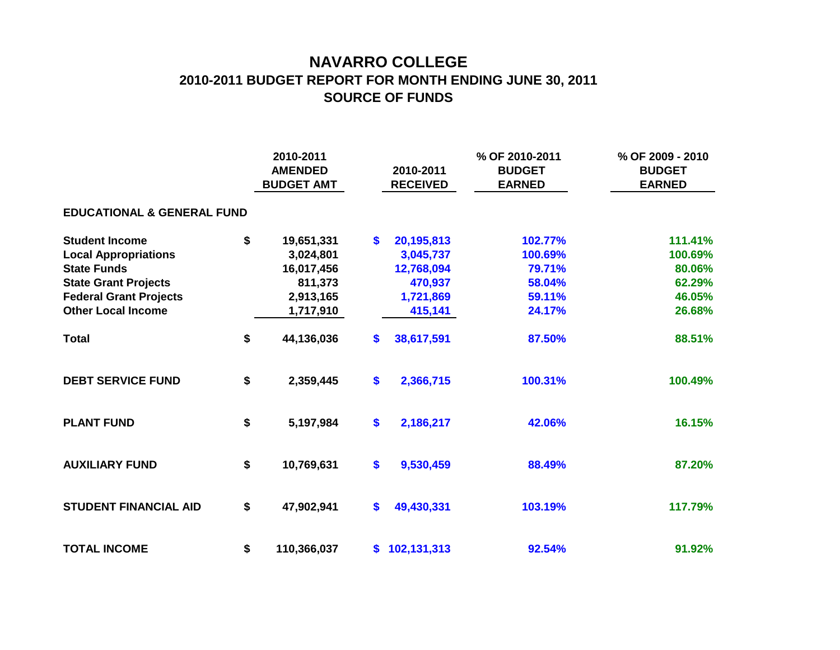## **NAVARRO COLLEGE 2010-2011 BUDGET REPORT FOR MONTH ENDING JUNE 30, 2011 SOURCE OF FUNDS**

|                                       |    | 2010-2011<br><b>AMENDED</b><br><b>BUDGET AMT</b> |              | 2010-2011<br><b>RECEIVED</b> | % OF 2010-2011<br><b>BUDGET</b><br><b>EARNED</b> | % OF 2009 - 2010<br><b>BUDGET</b><br><b>EARNED</b> |
|---------------------------------------|----|--------------------------------------------------|--------------|------------------------------|--------------------------------------------------|----------------------------------------------------|
| <b>EDUCATIONAL &amp; GENERAL FUND</b> |    |                                                  |              |                              |                                                  |                                                    |
| <b>Student Income</b>                 | \$ | 19,651,331                                       | \$           | 20,195,813                   | 102.77%                                          | 111.41%                                            |
| <b>Local Appropriations</b>           |    | 3,024,801                                        |              | 3,045,737                    | 100.69%                                          | 100.69%                                            |
| <b>State Funds</b>                    |    | 16,017,456                                       |              | 12,768,094                   | 79.71%                                           | 80.06%                                             |
| <b>State Grant Projects</b>           |    | 811,373                                          |              | 470,937                      | 58.04%                                           | 62.29%                                             |
| <b>Federal Grant Projects</b>         |    | 2,913,165                                        |              | 1,721,869                    | 59.11%                                           | 46.05%                                             |
| <b>Other Local Income</b>             |    | 1,717,910                                        |              | 415,141                      | 24.17%                                           | 26.68%                                             |
| <b>Total</b>                          | \$ | 44,136,036                                       | \$           | 38,617,591                   | 87.50%                                           | 88.51%                                             |
| <b>DEBT SERVICE FUND</b>              | \$ | 2,359,445                                        | \$           | 2,366,715                    | 100.31%                                          | 100.49%                                            |
| <b>PLANT FUND</b>                     | \$ | 5,197,984                                        | $\mathbf{s}$ | 2,186,217                    | 42.06%                                           | 16.15%                                             |
| <b>AUXILIARY FUND</b>                 | \$ | 10,769,631                                       | \$           | 9,530,459                    | 88.49%                                           | 87.20%                                             |
| <b>STUDENT FINANCIAL AID</b>          | \$ | 47,902,941                                       | \$           | 49,430,331                   | 103.19%                                          | 117.79%                                            |
| <b>TOTAL INCOME</b>                   | \$ | 110,366,037                                      | \$           | 102,131,313                  | 92.54%                                           | 91.92%                                             |